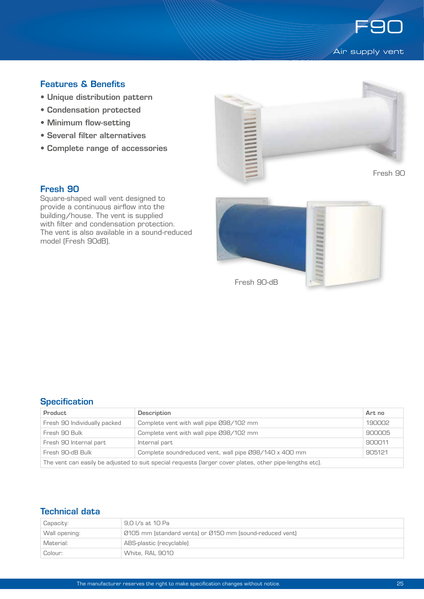

## Features & Benefits

- Unique distribution pattern
- Condensation protected
- Minimum flow-setting
- Several filter alternatives
- Complete range of accessories



#### Fresh 90

Square-shaped wall vent designed to provide a continuous airflow into the building/house. The vent is supplied with filter and condensation protection. The vent is also available in a sound-reduced model (Fresh 90dB).



## **Specification**

| Product                                                                                                 | Description                                            | Art no |  |
|---------------------------------------------------------------------------------------------------------|--------------------------------------------------------|--------|--|
| Fresh 90 Individually packed                                                                            | Complete vent with wall pipe 098/102 mm                | 190002 |  |
| Fresh 90 Bulk                                                                                           | Complete vent with wall pipe 098/102 mm                | 900005 |  |
| Fresh 90 Internal part                                                                                  | Internal part                                          | 900011 |  |
| Fresh 90-dB Bulk                                                                                        | Complete soundreduced vent, wall pipe 098/140 x 400 mm | 905121 |  |
| The vent can easily be adjusted to suit special requests (larger cover plates, other pipe-lengths etc). |                                                        |        |  |

# Technical data

| Capacity:     | 9.0 I/s at 10 Pa                                         |  |
|---------------|----------------------------------------------------------|--|
| Wall opening: | Ø105 mm (standard vents) or Ø150 mm (sound-reduced vent) |  |
| Material:     | ABS-plastic (recyclable)                                 |  |
| Colour:       | White, RAL 9010                                          |  |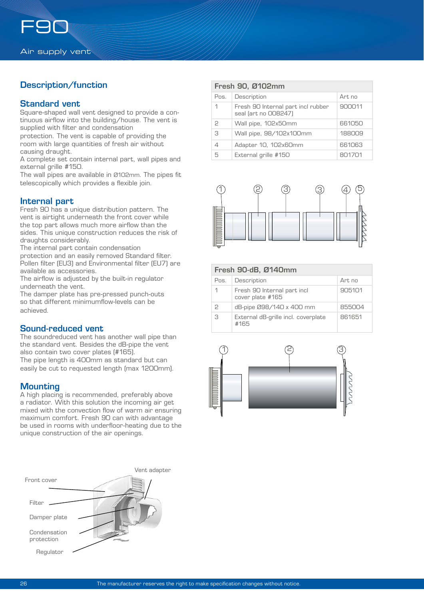# Description/function

### Standard vent

Square-shaped wall vent designed to provide a continuous airflow into the building/house. The vent is supplied with filter and condensation

protection. The vent is capable of providing the room with large quantities of fresh air without causing draught.

A complete set contain internal part, wall pipes and external grille #150.

The wall pipes are available in Ø102mm. The pipes fit telescopically which provides a flexible join.

#### Internal part

Fresh 90 has a unique distribution pattern. The vent is airtight underneath the front cover while the top part allows much more airflow than the sides. This unique construction reduces the risk of draughts considerably.

The internal part contain condensation

protection and an easily removed Standard filter. Pollen filter (EU3) and Environmental filter (EU7) are available as accessories.

The airflow is adjusted by the built-in regulator underneath the vent.

The damper plate has pre-pressed punch-outs so that different minimumflow-levels can be achieved.

#### Sound-reduced vent

The soundreduced vent has another wall pipe than the standard vent. Besides the dB-pipe the vent also contain two cover plates (#165). The pipe length is 400mm as standard but can easily be cut to requested length (max 1200mm).

## **Mounting**

A high placing is recommended, preferably above a radiator. With this solution the incoming air get mixed with the convection flow of warm air ensuring maximum comfort. Fresh 90 can with advantage be used in rooms with underfloor-heating due to the unique construction of the air openings.



| Fresh 90, Ø102mm |                                                            |         |
|------------------|------------------------------------------------------------|---------|
| Pos.             | Description                                                | Art. no |
| 1                | Fresh 90 Internal part incl rubber<br>seal (art no 008247) | 900011  |
| 2                | Wall pipe, 102x50mm                                        | 661050  |
| 3                | Wall pipe, 98/102x100mm                                    | 188009  |
|                  | Adapter 10, 102x60mm                                       | 661063  |
| 5                | External grille #150                                       | 801701  |



| Fresh 90-dB, Ø140mm |  |
|---------------------|--|
|---------------------|--|

| Pos.          | Description                                     | Art no |
|---------------|-------------------------------------------------|--------|
|               | Fresh 90 Internal part incl<br>cover plate #165 | 905101 |
| $\mathcal{P}$ | dB-pipe 098/140 x 400 mm                        | 855004 |
| З             | External dB-grille incl. coverplate<br>#165     | 861651 |

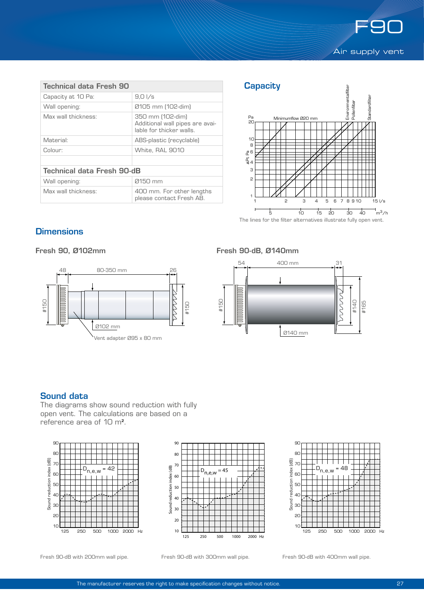

| Technical data Fresh 90           |                                                                                 |  |  |  |  |
|-----------------------------------|---------------------------------------------------------------------------------|--|--|--|--|
| Capacity at 10 Pa:                | $9.0\sqrt{s}$                                                                   |  |  |  |  |
| Wall opening:                     | Ø105 mm (102-dim)                                                               |  |  |  |  |
| Max wall thickness:               | 350 mm (102-dim)<br>Additional wall pipes are avai-<br>lable for thicker walls. |  |  |  |  |
| Material:                         | ABS-plastic (recyclable)                                                        |  |  |  |  |
| Colour:                           | White, RAL 9010                                                                 |  |  |  |  |
|                                   |                                                                                 |  |  |  |  |
| <b>Technical data Fresh 90-dB</b> |                                                                                 |  |  |  |  |
| Wall opening:                     | 0150 mm                                                                         |  |  |  |  |
| Max wall thickness:               | 400 mm. For other lengths<br>please contact Fresh AB.                           |  |  |  |  |





The lines for the filter alternatives illustrate fully open vent.

# **Dimensions**

Fresh 90, Ø102mm



## Fresh 90-dB, Ø140mm



## Sound data

The diagrams show sound reduction with fully open vent. The calculations are based on a reference area of 10 m².





90 **80**  $\overline{9}$  70 Sound reduction index (dB) 48 6C 50 40 30 20 10 TTTT I TITLE 125 250 500 1000 2000 Hz

Fresh 90-dB with 200mm wall pipe.

Fresh 90-dB with 300mm wall pipe. Fresh 90-dB with 400mm wall pipe.